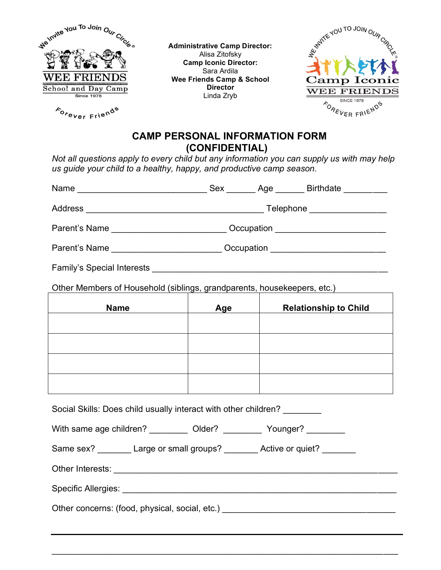

Forever Friends

**Administrative Camp Director:** Alisa Zitofsky **Camp Iconic Director:** Sara Ardila **Wee Friends Camp & School Director** Linda Zryb



## **CAMP PERSONAL INFORMATION FORM (CONFIDENTIAL)**

*Not all questions apply to every child but any information you can supply us with may help us guide your child to a healthy, happy, and productive camp season.*

| Name ___________________________________Sex _________ Age ________ Birthdate __________ |                                                                                  |     |                              |  |
|-----------------------------------------------------------------------------------------|----------------------------------------------------------------------------------|-----|------------------------------|--|
|                                                                                         |                                                                                  |     |                              |  |
|                                                                                         | Parent's Name ________________________________ Occupation ______________________ |     |                              |  |
|                                                                                         | Parent's Name _____________________________Occupation __________________________ |     |                              |  |
|                                                                                         |                                                                                  |     |                              |  |
| Other Members of Household (siblings, grandparents, housekeepers, etc.)                 |                                                                                  |     |                              |  |
| <b>Name</b>                                                                             |                                                                                  | Age | <b>Relationship to Child</b> |  |
|                                                                                         |                                                                                  |     |                              |  |
|                                                                                         |                                                                                  |     |                              |  |
|                                                                                         |                                                                                  |     |                              |  |
|                                                                                         |                                                                                  |     |                              |  |
| Social Skills: Does child usually interact with other children?                         |                                                                                  |     |                              |  |
| With same age children? __________ Older? _________ Younger? ________                   |                                                                                  |     |                              |  |
| Same sex? ________ Large or small groups? ________ Active or quiet? _______             |                                                                                  |     |                              |  |
|                                                                                         |                                                                                  |     |                              |  |
|                                                                                         |                                                                                  |     |                              |  |
|                                                                                         |                                                                                  |     |                              |  |
|                                                                                         |                                                                                  |     |                              |  |

 $\mathcal{L}_\text{G}$  , and the contribution of the contribution of the contribution of the contribution of the contribution of the contribution of the contribution of the contribution of the contribution of the contribution of t